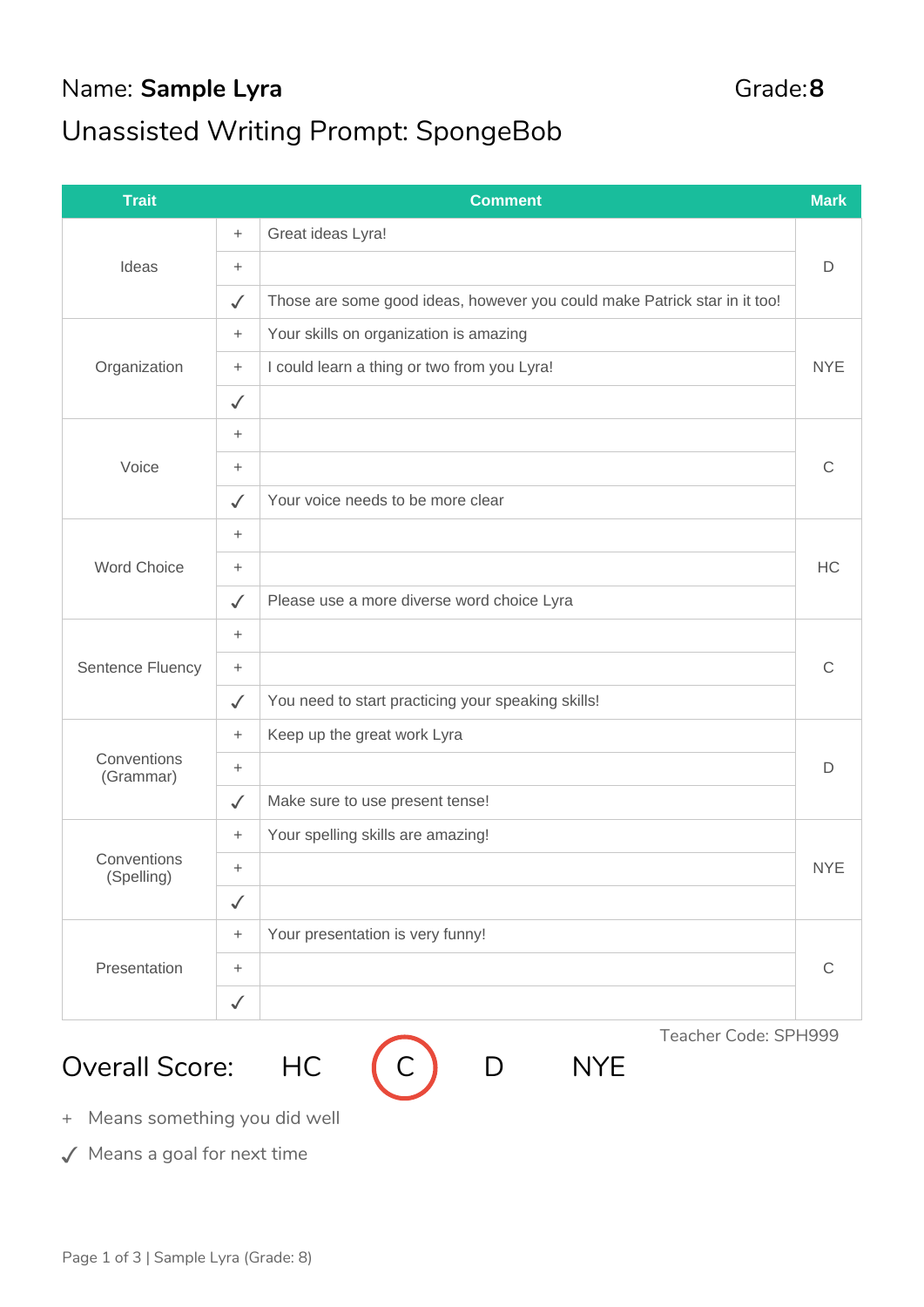## Name: Sample Lyra Grade: 8 Unassisted Writing Prompt: SpongeBob

| <b>Trait</b>              |                 | <b>Comment</b>                                                            | <b>Mark</b> |  |  |
|---------------------------|-----------------|---------------------------------------------------------------------------|-------------|--|--|
| Ideas                     | $\ddot{}$       | Great ideas Lyra!                                                         |             |  |  |
|                           | $\ddot{}$       |                                                                           |             |  |  |
|                           | $\checkmark$    | Those are some good ideas, however you could make Patrick star in it too! |             |  |  |
| Organization              | $\ddot{}$       | Your skills on organization is amazing                                    |             |  |  |
|                           | $\ddot{}$       | I could learn a thing or two from you Lyra!                               | <b>NYE</b>  |  |  |
|                           | $\checkmark$    |                                                                           |             |  |  |
| Voice                     | $\ddot{}$       |                                                                           | C           |  |  |
|                           | $\ddot{}$       |                                                                           |             |  |  |
|                           | $\checkmark$    | Your voice needs to be more clear                                         |             |  |  |
|                           | $\ddot{}$       |                                                                           | HC          |  |  |
| <b>Word Choice</b>        | $\ddot{}$       |                                                                           |             |  |  |
|                           | $\checkmark$    | Please use a more diverse word choice Lyra                                |             |  |  |
| Sentence Fluency          | $\ddot{}$       |                                                                           | C           |  |  |
|                           | $\ddot{}$       |                                                                           |             |  |  |
|                           | $\checkmark$    | You need to start practicing your speaking skills!                        |             |  |  |
| Conventions<br>(Grammar)  | $\ddot{}$       | Keep up the great work Lyra                                               | D           |  |  |
|                           | $\ddot{}$       |                                                                           |             |  |  |
|                           | $\checkmark$    | Make sure to use present tense!                                           |             |  |  |
| Conventions<br>(Spelling) | $\ddot{}$       | Your spelling skills are amazing!                                         |             |  |  |
|                           | $\ddot{}$       |                                                                           | <b>NYE</b>  |  |  |
|                           | $\checkmark$    |                                                                           |             |  |  |
| Presentation              | $\! + \!\!\!\!$ | Your presentation is very funny!                                          |             |  |  |
|                           | $\! + \!\!\!\!$ |                                                                           | C           |  |  |
|                           | $\checkmark$    |                                                                           |             |  |  |

Overall Score: HC (C) D NYE



Teacher Code: SPH999

Page 1 of 3 | Sample Lyra (Grade: 8)

+ Means something you did well

✓ Means a goal for next time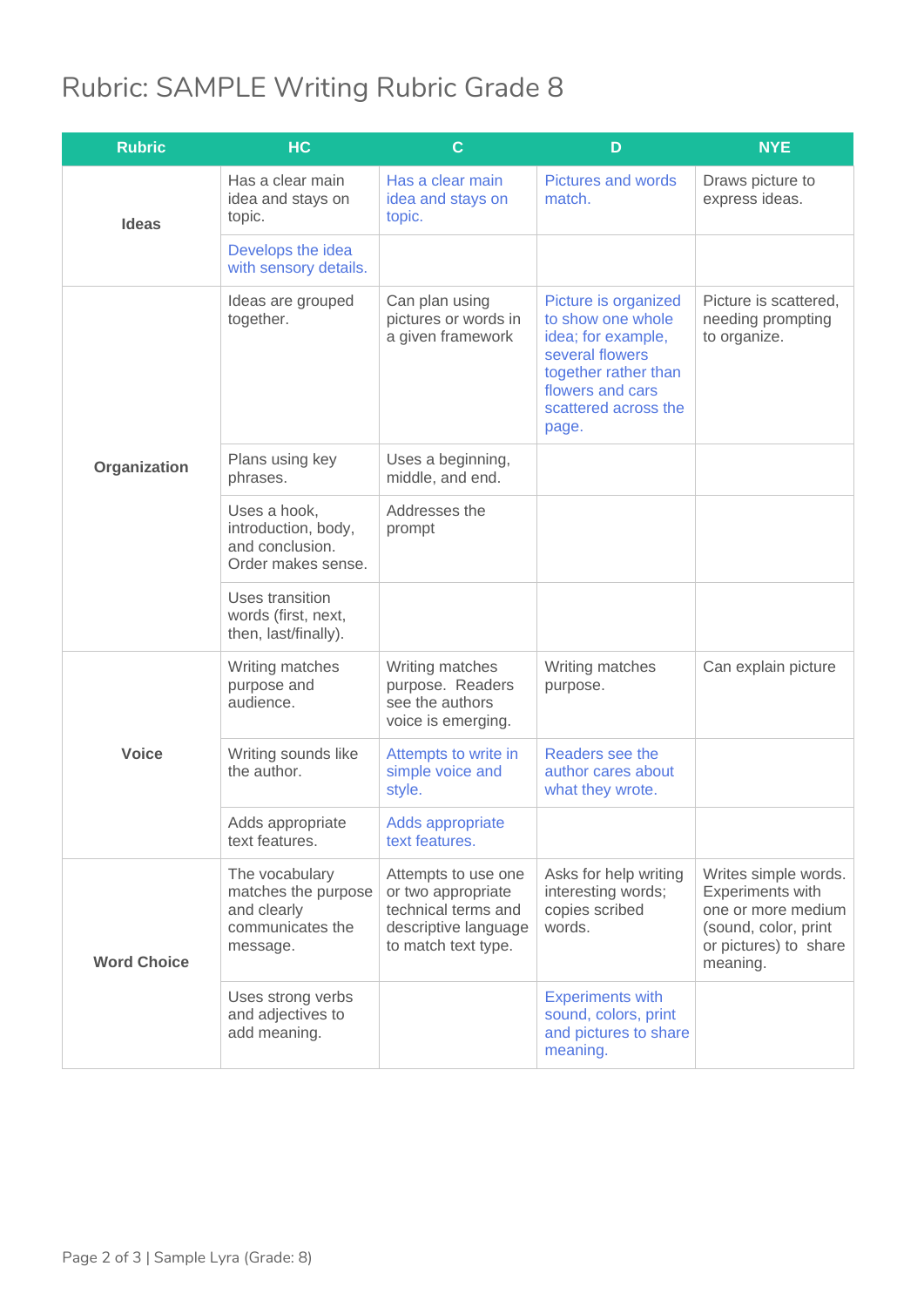## Rubric: SAMPLE Writing Rubric Grade 8

| <b>Rubric</b>      | HC                                                                                   | $\mathbf C$                                                                                                     | D                                                                                                                                                               | <b>NYE</b>                                                                                                                  |
|--------------------|--------------------------------------------------------------------------------------|-----------------------------------------------------------------------------------------------------------------|-----------------------------------------------------------------------------------------------------------------------------------------------------------------|-----------------------------------------------------------------------------------------------------------------------------|
| <b>Ideas</b>       | Has a clear main<br>idea and stays on<br>topic.                                      | Has a clear main<br>idea and stays on<br>topic.                                                                 | <b>Pictures and words</b><br>match.                                                                                                                             | Draws picture to<br>express ideas.                                                                                          |
|                    | Develops the idea<br>with sensory details.                                           |                                                                                                                 |                                                                                                                                                                 |                                                                                                                             |
| Organization       | Ideas are grouped<br>together.                                                       | Can plan using<br>pictures or words in<br>a given framework                                                     | Picture is organized<br>to show one whole<br>idea; for example,<br>several flowers<br>together rather than<br>flowers and cars<br>scattered across the<br>page. | Picture is scattered.<br>needing prompting<br>to organize.                                                                  |
|                    | Plans using key<br>phrases.                                                          | Uses a beginning,<br>middle, and end.                                                                           |                                                                                                                                                                 |                                                                                                                             |
|                    | Uses a hook,<br>introduction, body,<br>and conclusion.<br>Order makes sense.         | Addresses the<br>prompt                                                                                         |                                                                                                                                                                 |                                                                                                                             |
|                    | Uses transition<br>words (first, next,<br>then, last/finally).                       |                                                                                                                 |                                                                                                                                                                 |                                                                                                                             |
| <b>Voice</b>       | Writing matches<br>purpose and<br>audience.                                          | Writing matches<br>purpose. Readers<br>see the authors<br>voice is emerging.                                    | Writing matches<br>purpose.                                                                                                                                     | Can explain picture                                                                                                         |
|                    | Writing sounds like<br>the author.                                                   | Attempts to write in<br>simple voice and<br>style.                                                              | Readers see the<br>author cares about<br>what they wrote.                                                                                                       |                                                                                                                             |
|                    | Adds appropriate<br>text features.                                                   | Adds appropriate<br>text features.                                                                              |                                                                                                                                                                 |                                                                                                                             |
| <b>Word Choice</b> | The vocabulary<br>matches the purpose<br>and clearly<br>communicates the<br>message. | Attempts to use one<br>or two appropriate<br>technical terms and<br>descriptive language<br>to match text type. | Asks for help writing<br>interesting words;<br>copies scribed<br>words.                                                                                         | Writes simple words.<br>Experiments with<br>one or more medium<br>(sound, color, print<br>or pictures) to share<br>meaning. |
|                    | Uses strong verbs<br>and adjectives to<br>add meaning.                               |                                                                                                                 | <b>Experiments with</b><br>sound, colors, print<br>and pictures to share<br>meaning.                                                                            |                                                                                                                             |